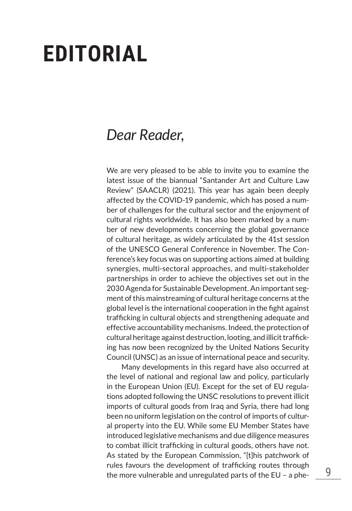## **EDITORIAL**

## *Dear Reader*,

We are very pleased to be able to invite you to examine the latest issue of the biannual "Santander Art and Culture Law Review" (SAACLR) (2021). This year has again been deeply affected by the COVID-19 pandemic, which has posed a number of challenges for the cultural sector and the enjoyment of cultural rights worldwide. It has also been marked by a number of new developments concerning the global governance of cultural heritage, as widely articulated by the 41st session of the UNESCO General Conference in November. The Conference's key focus was on supporting actions aimed at building synergies, multi-sectoral approaches, and multi-stakeholder partnerships in order to achieve the objectives set out in the 2030 Agenda for Sustainable Development. An important segment of this mainstreaming of cultural heritage concerns at the global level is the international cooperation in the fight against trafficking in cultural objects and strengthening adequate and effective accountability mechanisms. Indeed, the protection of cultural heritage against destruction, looting, and illicit trafficking has now been recognized by the United Nations Security Council (UNSC) as an issue of international peace and security.

Many developments in this regard have also occurred at the level of national and regional law and policy, particularly in the European Union (EU). Except for the set of EU regulations adopted following the UNSC resolutions to prevent illicit imports of cultural goods from Iraq and Syria, there had long been no uniform legislation on the control of imports of cultural property into the EU. While some EU Member States have introduced legislative mechanisms and due diligence measures to combat illicit trafficking in cultural goods, others have not. As stated by the European Commission, "[t]his patchwork of rules favours the development of trafficking routes through the more vulnerable and unregulated parts of the EU – a phe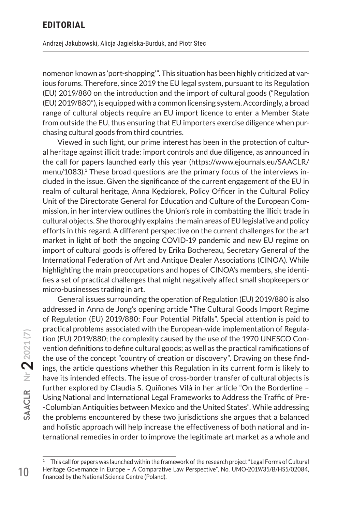nomenon known as 'port-shopping'". This situation has been highly criticized at various forums. Therefore, since 2019 the EU legal system, pursuant to its Regulation (EU) 2019/880 on the introduction and the import of cultural goods ("Regulation (EU) 2019/880"), is equipped with a common licensing system. Accordingly, a broad range of cultural objects require an EU import licence to enter a Member State from outside the EU, thus ensuring that EU importers exercise diligence when purchasing cultural goods from third countries.

Viewed in such light, our prime interest has been in the protection of cultural heritage against illicit trade: import controls and due diligence, as announced in the call for papers launched early this year (https://www.ejournals.eu/SAACLR/ menu/1083).<sup>1</sup> These broad questions are the primary focus of the interviews included in the issue. Given the significance of the current engagement of the EU in realm of cultural heritage, Anna Kędziorek, Policy Officer in the Cultural Policy Unit of the Directorate General for Education and Culture of the European Commission, in her interview outlines the Union's role in combatting the illicit trade in cultural objects. She thoroughly explains the main areas of EU legislative and policy efforts in this regard. A different perspective on the current challenges for the art market in light of both the ongoing COVID-19 pandemic and new EU regime on import of cultural goods is offered by Erika Bochereau, Secretary General of the International Federation of Art and Antique Dealer Associations (CINOA). While highlighting the main preoccupations and hopes of CINOA's members, she identifies a set of practical challenges that might negatively affect small shopkeepers or micro-businesses trading in art.

General issues surrounding the operation of Regulation (EU) 2019/880 is also addressed in Anna de Jong's opening article "The Cultural Goods Import Regime of Regulation (EU) 2019/880: Four Potential Pitfalls". Special attention is paid to practical problems associated with the European-wide implementation of Regulation (EU) 2019/880; the complexity caused by the use of the 1970 UNESCO Convention definitions to define cultural goods; as well as the practical ramifications of the use of the concept "country of creation or discovery". Drawing on these findings, the article questions whether this Regulation in its current form is likely to have its intended effects. The issue of cross-border transfer of cultural objects is further explored by Claudia S. Quiñones Vilá in her article "On the Borderline – Using National and International Legal Frameworks to Address the Traffic of Pre- -Columbian Antiquities between Mexico and the United States". While addressing the problems encountered by these two jurisdictions she argues that a balanced and holistic approach will help increase the effectiveness of both national and international remedies in order to improve the legitimate art market as a whole and

<sup>1</sup> This call for papers was launched within the framework of the research project "Legal Forms of Cultural Heritage Governance in Europe – A Comparative Law Perspective", No. UMO-2019/35/B/HS5/02084, financed by the National Science Centre (Poland).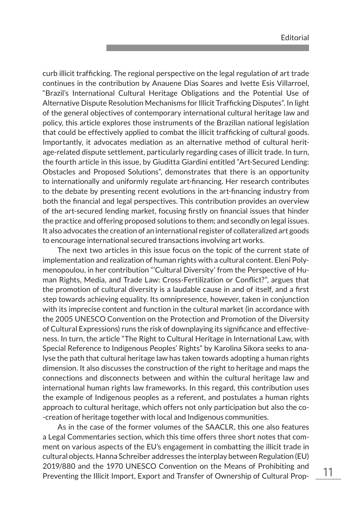curb illicit trafficking. The regional perspective on the legal regulation of art trade continues in the contribution by Anauene Dias Soares and Ivette Esis Villarroel, "Brazil's International Cultural Heritage Obligations and the Potential Use of Alternative Dispute Resolution Mechanisms for Illicit Trafficking Disputes". In light of the general objectives of contemporary international cultural heritage law and policy, this article explores those instruments of the Brazilian national legislation that could be effectively applied to combat the illicit trafficking of cultural goods. Importantly, it advocates mediation as an alternative method of cultural heritage-related dispute settlement, particularly regarding cases of illicit trade. In turn, the fourth article in this issue, by Giuditta Giardini entitled "Art-Secured Lending: Obstacles and Proposed Solutions", demonstrates that there is an opportunity to internationally and uniformly regulate art-financing. Her research contributes to the debate by presenting recent evolutions in the art-financing industry from both the financial and legal perspectives. This contribution provides an overview of the art-secured lending market, focusing firstly on financial issues that hinder the practice and offering proposed solutions to them; and secondly on legal issues. It also advocates the creation of an international register of collateralized art goods to encourage international secured transactions involving art works.

The next two articles in this issue focus on the topic of the current state of implementation and realization of human rights with a cultural content. Eleni Polymenopoulou, in her contribution "'Cultural Diversity' from the Perspective of Human Rights, Media, and Trade Law: Cross-Fertilization or Conflict?", argues that the promotion of cultural diversity is a laudable cause in and of itself, and a first step towards achieving equality. Its omnipresence, however, taken in conjunction with its imprecise content and function in the cultural market (in accordance with the 2005 UNESCO Convention on the Protection and Promotion of the Diversity of Cultural Expressions) runs the risk of downplaying its significance and effectiveness. In turn, the article "The Right to Cultural Heritage in International Law, with Special Reference to Indigenous Peoples' Rights" by Karolina Sikora seeks to analyse the path that cultural heritage law has taken towards adopting a human rights dimension. It also discusses the construction of the right to heritage and maps the connections and disconnects between and within the cultural heritage law and international human rights law frameworks. In this regard, this contribution uses the example of Indigenous peoples as a referent, and postulates a human rights approach to cultural heritage, which offers not only participation but also the co- -creation of heritage together with local and Indigenous communities.

As in the case of the former volumes of the SAACLR, this one also features a Legal Commentaries section, which this time offers three short notes that comment on various aspects of the EU's engagement in combatting the illicit trade in cultural objects. Hanna Schreiber addresses the interplay between Regulation (EU) 2019/880 and the 1970 UNESCO Convention on the Means of Prohibiting and Preventing the Illicit Import, Export and Transfer of Ownership of Cultural Prop